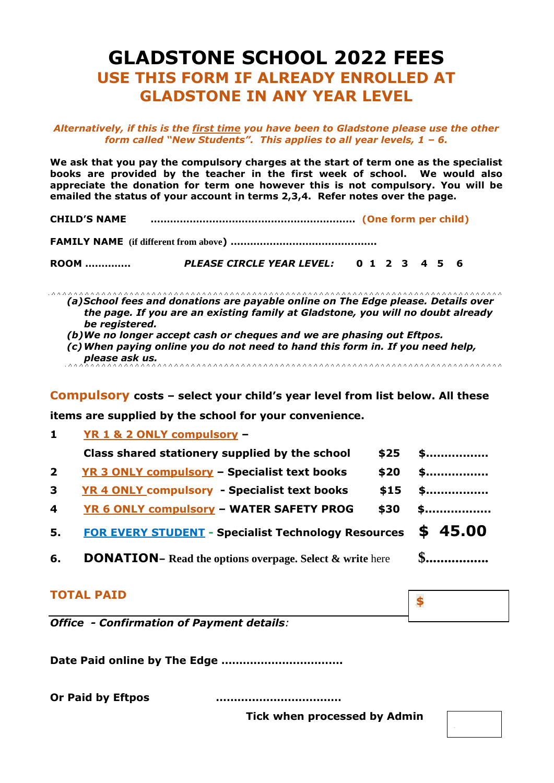# **GLADSTONE SCHOOL 2022 FEES USE THIS FORM IF ALREADY ENROLLED AT GLADSTONE IN ANY YEAR LEVEL**

*Alternatively, if this is the first time you have been to Gladstone please use the other form called "New Students". This applies to all year levels, 1 – 6.*

**We ask that you pay the compulsory charges at the start of term one as the specialist books are provided by the teacher in the first week of school. We would also appreciate the donation for term one however this is not compulsory. You will be emailed the status of your account in terms 2,3,4. Refer notes over the page.**

**CHILD'S NAME ……………………………………………………… (One form per child)**

**FAMILY NAME (if different from above) ….…………………………….…….**

**ROOM …………..** *PLEASE CIRCLE YEAR LEVEL:* **0 1 2 3 4 5 6** 

*(a)School fees and donations are payable online on The Edge please. Details over the page. If you are an existing family at Gladstone, you will no doubt already be registered.* 

*(b)We no longer accept cash or cheques and we are phasing out Eftpos.*

*(c)When paying online you do not need to hand this form in. If you need help, please ask us.* 

**Compulsory costs – select your child's year level from list below. All these** 

**items are supplied by the school for your convenience.**

**1 YR 1 & 2 ONLY compulsory – Class shared stationery supplied by the school**  $\qquad$  **\$25**  $\qquad$  \$.................. **2** YR 3 ONLY compulsory – Specialist text books \$20 \$................. **3 YR 4 ONLY compulsory - Specialist text books \$15 \$................. 4 YR 6 ONLY compulsory – WATER SAFETY PROG \$30 \$.................. 5. FOR EVERY STUDENT - Specialist Technology Resources \$ 45.00 6. DONATION**– **Read the options overpage. Select & write here \$................** 

#### **TOTAL PAID**

*Office - Confirmation of Payment details:* 

**Date Paid online by The Edge …………………………….**

**Or Paid by Eftpos ………..……………………** 

 **Tick when processed by Admin**

**\$**